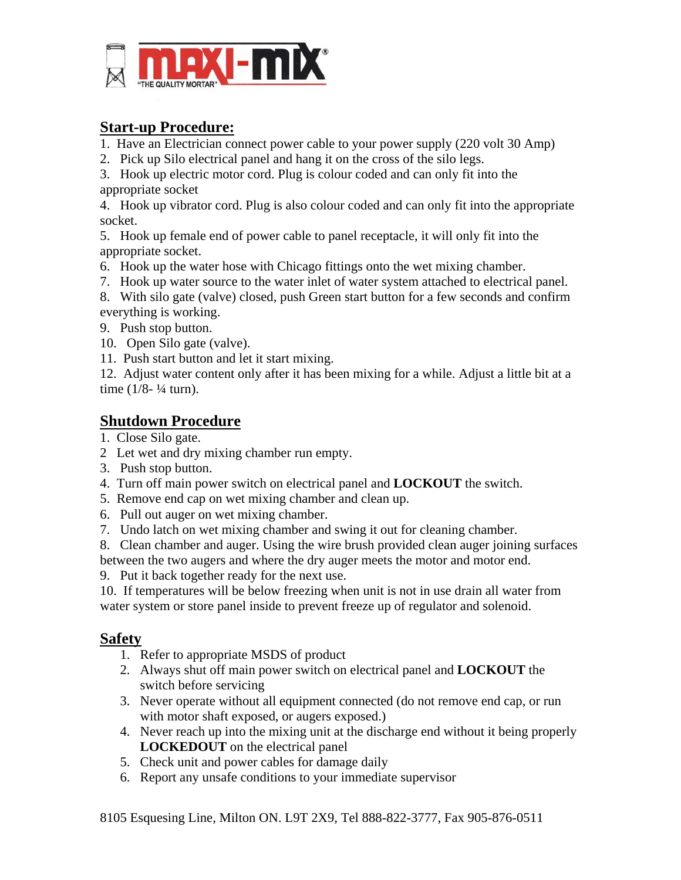

## **Start-up Procedure:**

- 1. Have an Electrician connect power cable to your power supply (220 volt 30 Amp)
- 2. Pick up Silo electrical panel and hang it on the cross of the silo legs.

3. Hook up electric motor cord. Plug is colour coded and can only fit into the appropriate socket

4. Hook up vibrator cord. Plug is also colour coded and can only fit into the appropriate socket.

5. Hook up female end of power cable to panel receptacle, it will only fit into the appropriate socket.

- 6. Hook up the water hose with Chicago fittings onto the wet mixing chamber.
- 7. Hook up water source to the water inlet of water system attached to electrical panel.

8. With silo gate (valve) closed, push Green start button for a few seconds and confirm everything is working.

- 9. Push stop button.
- 10. Open Silo gate (valve).
- 11. Push start button and let it start mixing.

12. Adjust water content only after it has been mixing for a while. Adjust a little bit at a time  $(1/8 - \frac{1}{4} \text{ turn})$ .

## **Shutdown Procedure**

- 1. Close Silo gate.
- 2 Let wet and dry mixing chamber run empty.
- 3. Push stop button.
- 4. Turn off main power switch on electrical panel and **LOCKOUT** the switch.
- 5. Remove end cap on wet mixing chamber and clean up.
- 6. Pull out auger on wet mixing chamber.
- 7. Undo latch on wet mixing chamber and swing it out for cleaning chamber.

8. Clean chamber and auger. Using the wire brush provided clean auger joining surfaces between the two augers and where the dry auger meets the motor and motor end.

9. Put it back together ready for the next use.

10. If temperatures will be below freezing when unit is not in use drain all water from water system or store panel inside to prevent freeze up of regulator and solenoid.

## **Safety**

- 1. Refer to appropriate MSDS of product
- 2. Always shut off main power switch on electrical panel and **LOCKOUT** the switch before servicing
- 3. Never operate without all equipment connected (do not remove end cap, or run with motor shaft exposed, or augers exposed.)
- 4. Never reach up into the mixing unit at the discharge end without it being properly **LOCKEDOUT** on the electrical panel
- 5. Check unit and power cables for damage daily
- 6. Report any unsafe conditions to your immediate supervisor